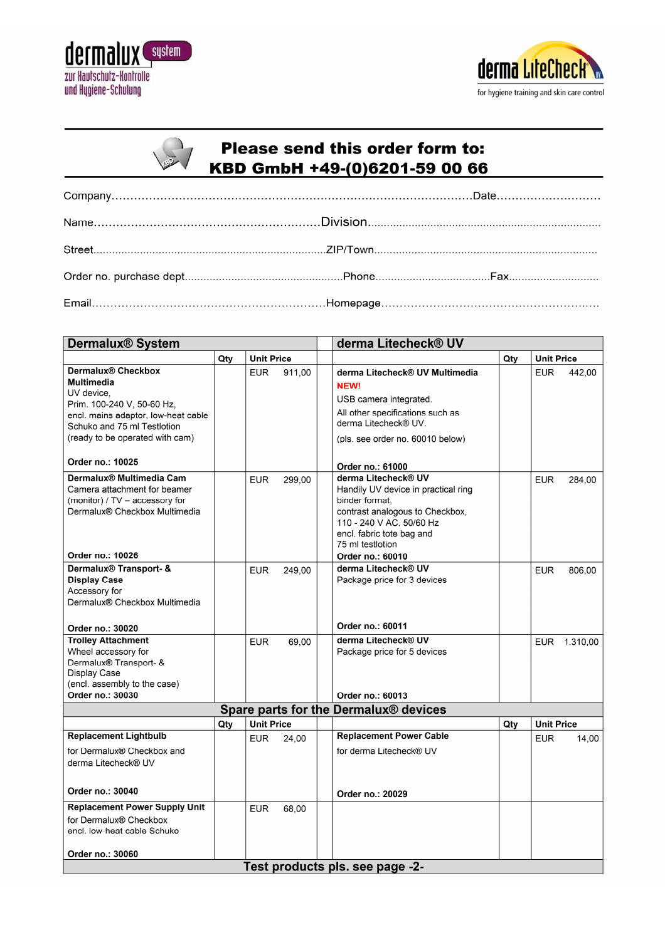



| $\mathcal{L}_{\mathcal{L}}$<br>$\sim$ / | <b>Please send this order form to:</b> |
|-----------------------------------------|----------------------------------------|
|                                         | KBD GmbH +49-(0)6201-59 00 66          |

| <b>Dermalux® System</b>                                    |     |            |                   | derma Litecheck® UV |                                                    |     |                   |          |
|------------------------------------------------------------|-----|------------|-------------------|---------------------|----------------------------------------------------|-----|-------------------|----------|
|                                                            | Qty |            | <b>Unit Price</b> |                     |                                                    | Qty | <b>Unit Price</b> |          |
| Dermalux® Checkbox                                         |     | <b>EUR</b> | 911,00            |                     | derma Litecheck® UV Multimedia                     |     | EUR.              | 442,00   |
| <b>Multimedia</b>                                          |     |            |                   |                     | <b>NEW!</b>                                        |     |                   |          |
| UV device,                                                 |     |            |                   |                     | USB camera integrated.                             |     |                   |          |
| Prim. 100-240 V, 50-60 Hz,                                 |     |            |                   |                     | All other specifications such as                   |     |                   |          |
| encl. mains adaptor, low-heat cable                        |     |            |                   |                     | derma Litecheck® UV.                               |     |                   |          |
| Schuko and 75 ml Testlotion                                |     |            |                   |                     |                                                    |     |                   |          |
| (ready to be operated with cam)                            |     |            |                   |                     | (pls. see order no. 60010 below)                   |     |                   |          |
| Order no.: 10025                                           |     |            |                   |                     | Order no.: 61000                                   |     |                   |          |
| Dermalux® Multimedia Cam                                   |     | <b>EUR</b> | 299,00            |                     | derma Litecheck® UV                                |     | <b>EUR</b>        | 284,00   |
| Camera attachment for beamer                               |     |            |                   |                     | Handily UV device in practical ring                |     |                   |          |
| (monitor) / TV - accessory for                             |     |            |                   |                     | binder format,                                     |     |                   |          |
| Dermalux® Checkbox Multimedia                              |     |            |                   |                     | contrast analogous to Checkbox,                    |     |                   |          |
|                                                            |     |            |                   |                     | 110 - 240 V AC, 50/60 Hz                           |     |                   |          |
|                                                            |     |            |                   |                     | encl. fabric tote bag and                          |     |                   |          |
| Order no.: 10026                                           |     |            |                   |                     | 75 ml testlotion                                   |     |                   |          |
|                                                            |     |            |                   |                     | Order no.: 60010                                   |     |                   |          |
| Dermalux <sup>®</sup> Transport- &<br><b>Display Case</b>  |     | <b>EUR</b> | 249,00            |                     | derma Litecheck® UV<br>Package price for 3 devices |     | <b>EUR</b>        | 806,00   |
| Accessory for                                              |     |            |                   |                     |                                                    |     |                   |          |
| Dermalux® Checkbox Multimedia                              |     |            |                   |                     |                                                    |     |                   |          |
|                                                            |     |            |                   |                     |                                                    |     |                   |          |
| Order no.: 30020                                           |     |            |                   |                     | Order no.: 60011                                   |     |                   |          |
| <b>Trolley Attachment</b>                                  |     | <b>EUR</b> | 69,00             |                     | derma Litecheck® UV                                |     | <b>EUR</b>        | 1.310,00 |
| Wheel accessory for                                        |     |            |                   |                     | Package price for 5 devices                        |     |                   |          |
| Dermalux® Transport- &                                     |     |            |                   |                     |                                                    |     |                   |          |
| <b>Display Case</b>                                        |     |            |                   |                     |                                                    |     |                   |          |
| (encl. assembly to the case)                               |     |            |                   |                     |                                                    |     |                   |          |
| Order no.: 30030                                           |     |            |                   |                     | Order no.: 60013                                   |     |                   |          |
| Spare parts for the Dermalux® devices<br><b>Unit Price</b> |     |            |                   |                     |                                                    |     | <b>Unit Price</b> |          |
| <b>Replacement Lightbulb</b>                               | Qty |            |                   |                     | <b>Replacement Power Cable</b>                     | Qty |                   |          |
|                                                            |     | <b>EUR</b> | 24,00             |                     |                                                    |     | <b>EUR</b>        | 14,00    |
| for Dermalux® Checkbox and                                 |     |            |                   |                     | for derma Litecheck® UV                            |     |                   |          |
| derma Litecheck® UV                                        |     |            |                   |                     |                                                    |     |                   |          |
| Order no.: 30040                                           |     |            |                   |                     | Order no.: 20029                                   |     |                   |          |
| <b>Replacement Power Supply Unit</b>                       |     |            |                   |                     |                                                    |     |                   |          |
| for Dermalux® Checkbox                                     |     | <b>EUR</b> | 68,00             |                     |                                                    |     |                   |          |
| encl. low-heat cable Schuko                                |     |            |                   |                     |                                                    |     |                   |          |
|                                                            |     |            |                   |                     |                                                    |     |                   |          |
| Order no.: 30060                                           |     |            |                   |                     |                                                    |     |                   |          |
|                                                            |     |            |                   |                     | Test products pls. see page -2-                    |     |                   |          |